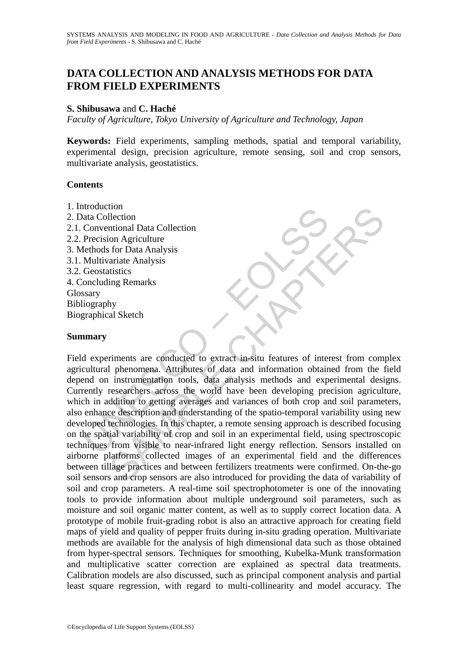# **DATA COLLECTION AND ANALYSIS METHODS FOR DATA FROM FIELD EXPERIMENTS**

#### **S. Shibusawa** and **C. Haché**

*Faculty of Agriculture, Tokyo University of Agriculture and Technology, Japan*

**Keywords:** Field experiments, sampling methods, spatial and temporal variability, experimental design, precision agriculture, remote sensing, soil and crop sensors, multivariate analysis, geostatistics.

#### **Contents**

- 1. Introduction
- 2. Data Collection 2.1. Conventional Data Collection 2.2. Precision Agriculture
- 3. Methods for Data Analysis 3.1. Multivariate Analysis
- 
- 3.2. Geostatistics
- 4. Concluding Remarks
- Glossary
- Bibliography Biographical Sketch

#### **Summary**

nucation<br>
valuation<br>
valuation declicion<br>
Dencesion Agriculture<br>
dethods for Data Analysis<br>
Multivariate Analysis<br>
Multivariate Analysis<br>
Multivariate Analysis<br>
Multivariate Analysis<br>
Sconsitivity<br>
sconsitivity<br>
sconsitivi To<br>
Ilection<br>
Ilection<br>
intonal Data Collection<br>
on Agriculture<br>
interion<br>
on Agriculture<br>
araite Analysis<br>
stariate Analysis<br>
araite Analysis<br>
araite Analysis<br>
stariate Analysis<br>
instrumentation tools, data and informatio Field experiments are conducted to extract in-situ features of interest from complex agricultural phenomena. Attributes of data and information obtained from the field depend on instrumentation tools, data analysis methods and experimental designs. Currently researchers across the world have been developing precision agriculture, which in addition to getting averages and variances of both crop and soil parameters, also enhance description and understanding of the spatio-temporal variability using new developed technologies. In this chapter, a remote sensing approach is described focusing on the spatial variability of crop and soil in an experimental field, using spectroscopic techniques from visible to near-infrared light energy reflection. Sensors installed on airborne platforms collected images of an experimental field and the differences between tillage practices and between fertilizers treatments were confirmed. On-the-go soil sensors and crop sensors are also introduced for providing the data of variability of soil and crop parameters. A real-time soil spectrophotometer is one of the innovating tools to provide information about multiple underground soil parameters, such as moisture and soil organic matter content, as well as to supply correct location data. A prototype of mobile fruit-grading robot is also an attractive approach for creating field maps of yield and quality of pepper fruits during in-situ grading operation. Multivariate methods are available for the analysis of high dimensional data such as those obtained from hyper-spectral sensors. Techniques for smoothing, Kubelka-Munk transformation and multiplicative scatter correction are explained as spectral data treatments. Calibration models are also discussed, such as principal component analysis and partial least square regression, with regard to multi-collinearity and model accuracy. The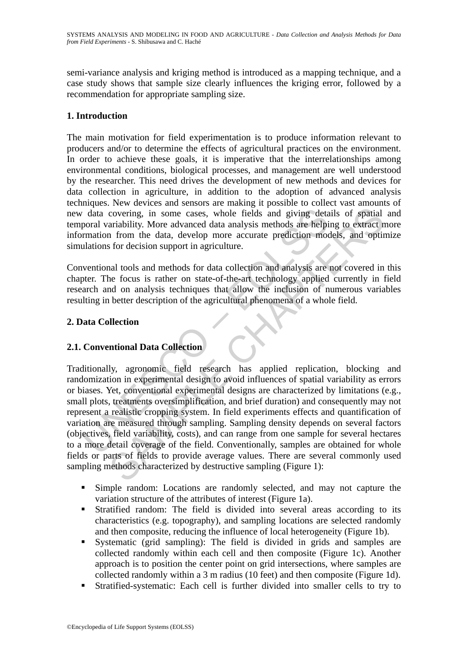semi-variance analysis and kriging method is introduced as a mapping technique, and a case study shows that sample size clearly influences the kriging error, followed by a recommendation for appropriate sampling size.

## **1. Introduction**

The main motivation for field experimentation is to produce information relevant to producers and/or to determine the effects of agricultural practices on the environment. In order to achieve these goals, it is imperative that the interrelationships among environmental conditions, biological processes, and management are well understood by the researcher. This need drives the development of new methods and devices for data collection in agriculture, in addition to the adoption of advanced analysis techniques. New devices and sensors are making it possible to collect vast amounts of new data covering, in some cases, whole fields and giving details of spatial and temporal variability. More advanced data analysis methods are helping to extract more information from the data, develop more accurate prediction models, and optimize simulations for decision support in agriculture.

Conventional tools and methods for data collection and analysis are not covered in this chapter. The focus is rather on state-of-the-art technology applied currently in field research and on analysis techniques that allow the inclusion of numerous variables resulting in better description of the agricultural phenomena of a whole field.

## **2. Data Collection**

## **2.1. Conventional Data Collection**

The distance of the fields and giving details and giving the distance of the fields and giving detail operal variability. More advanced data analysis methods are helpind the molulations for decision support in agriculture. covering, in some cases, whole fields and giving details of spatial<br>ariability. More advanced data analysis methods are helping to extract n<br>from the data, develop more accurate prediction models, and optir<br>for decision su Traditionally, agronomic field research has applied replication, blocking and randomization in experimental design to avoid influences of spatial variability as errors or biases. Yet, conventional experimental designs are characterized by limitations (e.g., small plots, treatments oversimplification, and brief duration) and consequently may not represent a realistic cropping system. In field experiments effects and quantification of variation are measured through sampling. Sampling density depends on several factors (objectives, field variability, costs), and can range from one sample for several hectares to a more detail coverage of the field. Conventionally, samples are obtained for whole fields or parts of fields to provide average values. There are several commonly used sampling methods characterized by destructive sampling (Figure 1):

- Simple random: Locations are randomly selected, and may not capture the variation structure of the attributes of interest (Figure 1a).
- Stratified random: The field is divided into several areas according to its characteristics (e.g. topography), and sampling locations are selected randomly and then composite, reducing the influence of local heterogeneity (Figure 1b).
- Systematic (grid sampling): The field is divided in grids and samples are collected randomly within each cell and then composite (Figure 1c). Another approach is to position the center point on grid intersections, where samples are collected randomly within a 3 m radius (10 feet) and then composite (Figure 1d).
- Stratified-systematic: Each cell is further divided into smaller cells to try to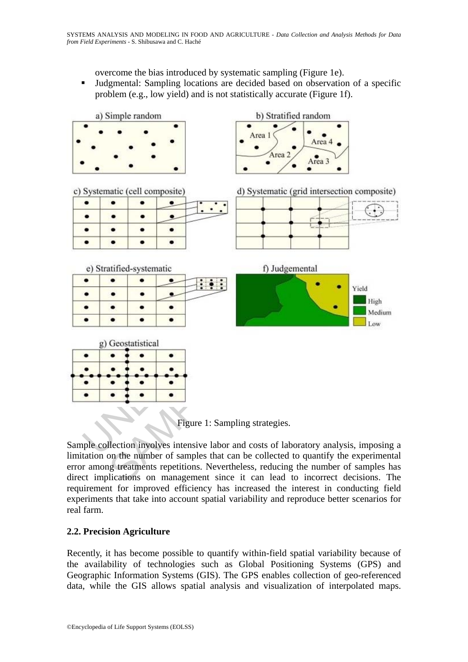overcome the bias introduced by systematic sampling (Figure 1e).

 Judgmental: Sampling locations are decided based on observation of a specific problem (e.g., low yield) and is not statistically accurate (Figure 1f).



Figure 1: Sampling strategies.

Sample collection involves intensive labor and costs of laboratory analysis, imposing a limitation on the number of samples that can be collected to quantify the experimental error among treatments repetitions. Nevertheless, reducing the number of samples has direct implications on management since it can lead to incorrect decisions. The requirement for improved efficiency has increased the interest in conducting field experiments that take into account spatial variability and reproduce better scenarios for real farm.

## **2.2. Precision Agriculture**

Recently, it has become possible to quantify within-field spatial variability because of the availability of technologies such as Global Positioning Systems (GPS) and Geographic Information Systems (GIS). The GPS enables collection of geo-referenced data, while the GIS allows spatial analysis and visualization of interpolated maps.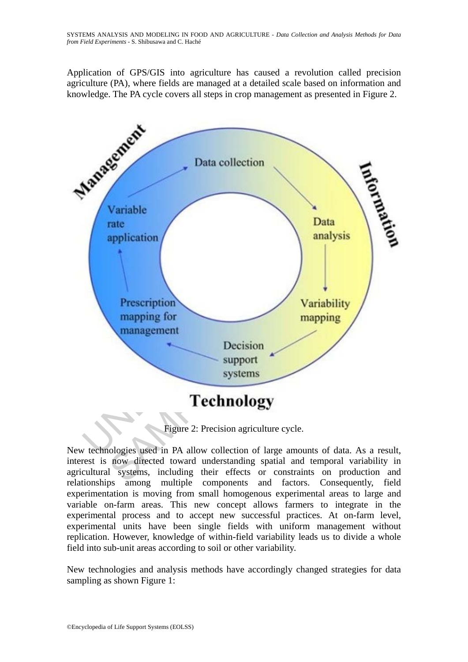Application of GPS/GIS into agriculture has caused a revolution called precision agriculture (PA), where fields are managed at a detailed scale based on information and knowledge. The PA cycle covers all steps in crop management as presented in Figure 2.



Figure 2: Precision agriculture cycle.

New technologies used in PA allow collection of large amounts of data. As a result, interest is now directed toward understanding spatial and temporal variability in agricultural systems, including their effects or constraints on production and relationships among multiple components and factors. Consequently, field experimentation is moving from small homogenous experimental areas to large and variable on-farm areas. This new concept allows farmers to integrate in the experimental process and to accept new successful practices. At on-farm level, experimental units have been single fields with uniform management without replication. However, knowledge of within-field variability leads us to divide a whole field into sub-unit areas according to soil or other variability.

New technologies and analysis methods have accordingly changed strategies for data sampling as shown Figure 1: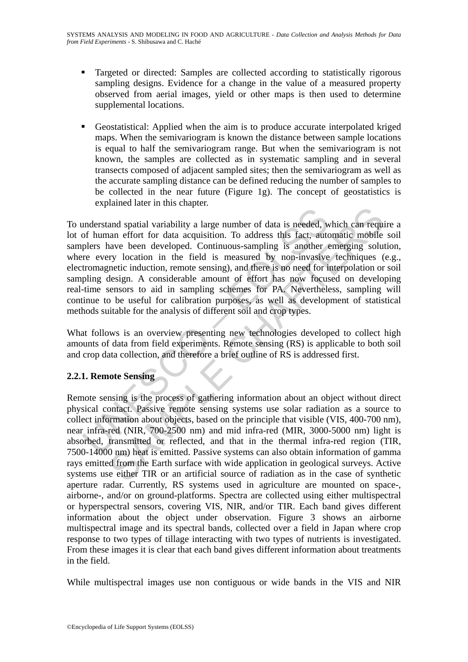- **Targeted or directed: Samples are collected according to statistically rigorous** sampling designs. Evidence for a change in the value of a measured property observed from aerial images, yield or other maps is then used to determine supplemental locations.
- Geostatistical: Applied when the aim is to produce accurate interpolated kriged maps. When the semivariogram is known the distance between sample locations is equal to half the semivariogram range. But when the semivariogram is not known, the samples are collected as in systematic sampling and in several transects composed of adjacent sampled sites; then the semivariogram as well as the accurate sampling distance can be defined reducing the number of samples to be collected in the near future (Figure 1g). The concept of geostatistics is explained later in this chapter.

Interstand spatial variability a large number of data is needed, w<br>plers have been developed. Continuous-sampling is another every location in the field is measured by non-invasive<br>tromagnetic induction, remote sensing and mand spatial variability a large number of data is needed, which can require<br>ana effort for data acquisition. To address this fact, automatic mobile<br>have been developed. Continuous-sampling is another emerging soluty<br>locat To understand spatial variability a large number of data is needed, which can require a lot of human effort for data acquisition. To address this fact, automatic mobile soil samplers have been developed. Continuous-sampling is another emerging solution, where every location in the field is measured by non-invasive techniques (e.g., electromagnetic induction, remote sensing), and there is no need for interpolation or soil sampling design. A considerable amount of effort has now focused on developing real-time sensors to aid in sampling schemes for PA. Nevertheless, sampling will continue to be useful for calibration purposes, as well as development of statistical methods suitable for the analysis of different soil and crop types.

What follows is an overview presenting new technologies developed to collect high amounts of data from field experiments. Remote sensing (RS) is applicable to both soil and crop data collection, and therefore a brief outline of RS is addressed first.

## **2.2.1. Remote Sensing**

Remote sensing is the process of gathering information about an object without direct physical contact. Passive remote sensing systems use solar radiation as a source to collect information about objects, based on the principle that visible (VIS, 400-700 nm), near infra-red (NIR, 700-2500 nm) and mid infra-red (MIR, 3000-5000 nm) light is absorbed, transmitted or reflected, and that in the thermal infra-red region (TIR, 7500-14000 nm) heat is emitted. Passive systems can also obtain information of gamma rays emitted from the Earth surface with wide application in geological surveys. Active systems use either TIR or an artificial source of radiation as in the case of synthetic aperture radar. Currently, RS systems used in agriculture are mounted on space-, airborne-, and/or on ground-platforms. Spectra are collected using either multispectral or hyperspectral sensors, covering VIS, NIR, and/or TIR. Each band gives different information about the object under observation. Figure 3 shows an airborne multispectral image and its spectral bands, collected over a field in Japan where crop response to two types of tillage interacting with two types of nutrients is investigated. From these images it is clear that each band gives different information about treatments in the field.

While multispectral images use non contiguous or wide bands in the VIS and NIR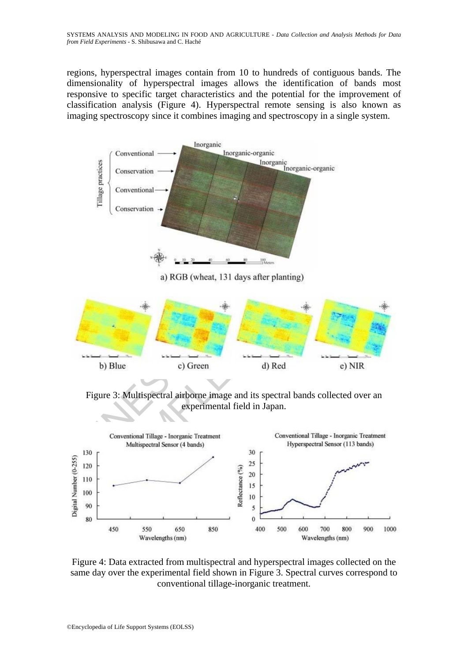regions, hyperspectral images contain from 10 to hundreds of contiguous bands. The dimensionality of hyperspectral images allows the identification of bands most responsive to specific target characteristics and the potential for the improvement of classification analysis (Figure 4). Hyperspectral remote sensing is also known as imaging spectroscopy since it combines imaging and spectroscopy in a single system.



UNITSPECTED APPROVALED THE CONVentional Tillage - Inorganic Treatment<br>
Terms of the Conventional Tillage - Inorganic Treatment<br>
Multispectral Sensor (4 bands)<br>
Conventional Tillage - Inorganic Treatment<br>
Multispectral Sens Experimental Representations of the CHAPTER CHAPTER CHAPTER CHAPTER CHAPTER CHAPTER CHAPTER CHAPTER CHAPTER CHAPTER CHAPTER CHAPTER CHAPTER CHAPTER CHAPTER CHAPTER CHAPTER CHAPTER CHAPTER CHAPTER CHAPTER CHAPTER CHAPTER C

Figure 3: Multispectral airborne image and its spectral bands collected over an experimental field in Japan.



Figure 4: Data extracted from multispectral and hyperspectral images collected on the same day over the experimental field shown in Figure 3. Spectral curves correspond to conventional tillage-inorganic treatment.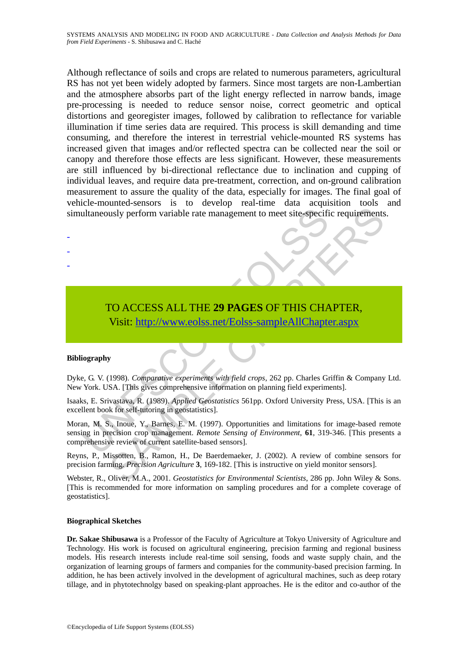Although reflectance of soils and crops are related to numerous parameters, agricultural RS has not yet been widely adopted by farmers. Since most targets are non-Lambertian and the atmosphere absorbs part of the light energy reflected in narrow bands, image pre-processing is needed to reduce sensor noise, correct geometric and optical distortions and georegister images, followed by calibration to reflectance for variable illumination if time series data are required. This process is skill demanding and time consuming, and therefore the interest in terrestrial vehicle-mounted RS systems has increased given that images and/or reflected spectra can be collected near the soil or canopy and therefore those effects are less significant. However, these measurements are still influenced by bi-directional reflectance due to inclination and cupping of individual leaves, and require data pre-treatment, correction, and on-ground calibration measurement to assure the quality of the data, especially for images. The final goal of vehicle-mounted-sensors is to develop real-time data acquisition tools and simultaneously perform variable rate management to meet site-specific requirements.

# TO ACCESS ALL THE **29 PAGES** OF THIS CHAPTER, Visit: http://www.eolss.net/Eolss-sampleAllChapter.aspx

#### **Bibliography**

- - -

Dyke, G. V. (1998). *Comparative experiments with field crops*, 262 pp. Charles Griffin & Company Ltd. New York. USA. [This gives comprehensive information on planning field experiments].

Isaaks, E. Srivastava, R. (1989). *Applied Geostatistics* 561pp. Oxford University Press, USA. [This is an excellent book for self-tutoring in geostatistics].

Ultaneously perform variable rate management to meet site-specifical<br>
TO ACCESS ALL THE 29 PAGES OF THIS CHA<br>
Visit: http://www.eolss.net/Eolss-sampleAllChapte<br>
iography<br>
e. G. V. (1998). Comparative experiments with field usly perform variable rate management to meet site-specific requirements<br>
Susly perform variable rate management to meet site-specific requirements<br>
SAMPLE [CHA](https://www.eolss.net/ebooklib/sc_cart.aspx?File=E5-17-05-02)PTER,<br>
SAMPLE CHAPTERS ALL THE 29 PAGES OF THIS CHAPTER,<br>
SAMPL Moran, M. S., Inoue, Y., Barnes, E. M. (1997). Opportunities and limitations for image-based remote sensing in precision crop management. *Remote Sensing of Environment*, **61**, 319-346. [This presents a comprehensive review of current satellite-based sensors].

Reyns, P., Missotten, B., Ramon, H., De Baerdemaeker, J. (2002). A review of combine sensors for precision farming. *Precision Agriculture* **3**, 169-182. [This is instructive on yield monitor sensors].

Webster, R., Oliver, M.A., 2001. *Geostatistics for Environmental Scientists*, 286 pp. John Wiley & Sons. [This is recommended for more information on sampling procedures and for a complete coverage of geostatistics].

#### **Biographical Sketches**

**Dr. Sakae Shibusawa** is a Professor of the Faculty of Agriculture at Tokyo University of Agriculture and Technology. His work is focused on agricultural engineering, precision farming and regional business models. His research interests include real-time soil sensing, foods and waste supply chain, and the organization of learning groups of farmers and companies for the community-based precision farming. In addition, he has been actively involved in the development of agricultural machines, such as deep rotary tillage, and in phytotechnolgy based on speaking-plant approaches. He is the editor and co-author of the